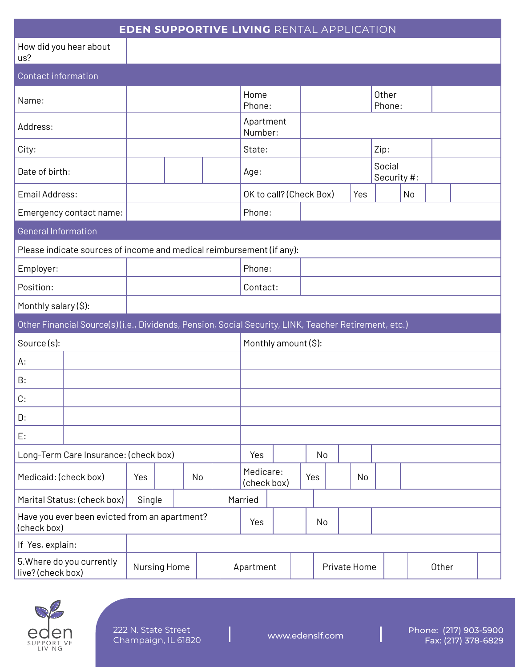| <b>EDEN SUPPORTIVE LIVING RENTAL APPLICATION</b>                                                     |              |    |     |          |                         |                          |    |              |  |     |                       |    |       |  |  |
|------------------------------------------------------------------------------------------------------|--------------|----|-----|----------|-------------------------|--------------------------|----|--------------|--|-----|-----------------------|----|-------|--|--|
| How did you hear about<br>us?                                                                        |              |    |     |          |                         |                          |    |              |  |     |                       |    |       |  |  |
| <b>Contact information</b>                                                                           |              |    |     |          |                         |                          |    |              |  |     |                       |    |       |  |  |
| Name:                                                                                                |              |    |     |          | Home<br>Phone:          |                          |    |              |  |     | Other<br>Phone:       |    |       |  |  |
| Address:                                                                                             |              |    |     |          | Apartment<br>Number:    |                          |    |              |  |     |                       |    |       |  |  |
| City:                                                                                                |              |    |     |          | State:                  |                          |    |              |  |     | Zip:                  |    |       |  |  |
| Date of birth:                                                                                       |              |    |     |          | Age:                    |                          |    |              |  |     | Social<br>Security #: |    |       |  |  |
| Email Address:                                                                                       |              |    |     |          | OK to call? (Check Box) |                          |    |              |  | Yes |                       | No |       |  |  |
| Emergency contact name:                                                                              |              |    |     |          | Phone:                  |                          |    |              |  |     |                       |    |       |  |  |
| <b>General Information</b>                                                                           |              |    |     |          |                         |                          |    |              |  |     |                       |    |       |  |  |
| Please indicate sources of income and medical reimbursement (if any):                                |              |    |     |          |                         |                          |    |              |  |     |                       |    |       |  |  |
| Employer:                                                                                            |              |    |     |          | Phone:                  |                          |    |              |  |     |                       |    |       |  |  |
| Position:                                                                                            |              |    |     | Contact: |                         |                          |    |              |  |     |                       |    |       |  |  |
| Monthly salary (\$):                                                                                 |              |    |     |          |                         |                          |    |              |  |     |                       |    |       |  |  |
| Other Financial Source(s)(i.e., Dividends, Pension, Social Security, LINK, Teacher Retirement, etc.) |              |    |     |          |                         |                          |    |              |  |     |                       |    |       |  |  |
| Source(s):                                                                                           |              |    |     |          | Monthly amount (\$):    |                          |    |              |  |     |                       |    |       |  |  |
| А:                                                                                                   |              |    |     |          |                         |                          |    |              |  |     |                       |    |       |  |  |
| B:                                                                                                   |              |    |     |          |                         |                          |    |              |  |     |                       |    |       |  |  |
| C:                                                                                                   |              |    |     |          |                         |                          |    |              |  |     |                       |    |       |  |  |
| D:                                                                                                   |              |    |     |          |                         |                          |    |              |  |     |                       |    |       |  |  |
| E:                                                                                                   |              |    |     |          |                         |                          |    |              |  |     |                       |    |       |  |  |
| Long-Term Care Insurance: (check box)                                                                |              |    |     | Yes      |                         |                          | No |              |  |     |                       |    |       |  |  |
| Medicaid: (check box)                                                                                | Yes          | No |     |          |                         | Medicare:<br>(check box) |    | Yes          |  | No  |                       |    |       |  |  |
| Marital Status: (check box)<br>Single                                                                |              |    |     |          |                         | Married                  |    |              |  |     |                       |    |       |  |  |
| Have you ever been evicted from an apartment?<br>(check box)                                         |              |    | Yes |          |                         | No                       |    |              |  |     |                       |    |       |  |  |
| If Yes, explain:                                                                                     |              |    |     |          |                         |                          |    |              |  |     |                       |    |       |  |  |
| 5. Where do you currently<br>live? (check box)                                                       | Nursing Home |    |     |          | Apartment               |                          |    | Private Home |  |     |                       |    | Other |  |  |



 $\overline{\mathsf{I}}$